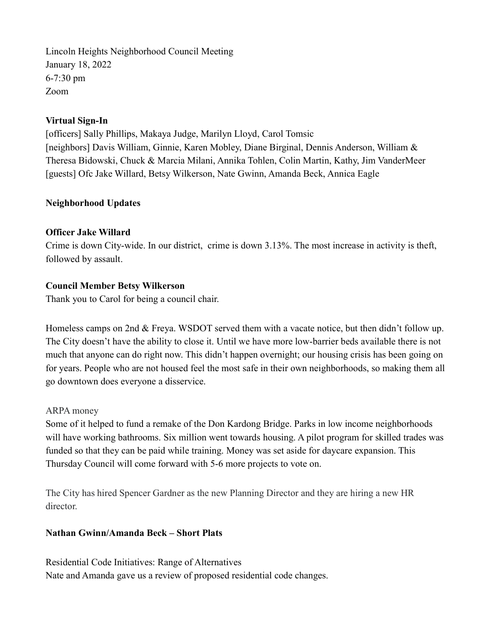Lincoln Heights Neighborhood Council Meeting January 18, 2022 6-7:30 pm Zoom

#### Virtual Sign-In

[officers] Sally Phillips, Makaya Judge, Marilyn Lloyd, Carol Tomsic [neighbors] Davis William, Ginnie, Karen Mobley, Diane Birginal, Dennis Anderson, William & Theresa Bidowski, Chuck & Marcia Milani, Annika Tohlen, Colin Martin, Kathy, Jim VanderMeer [guests] Ofc Jake Willard, Betsy Wilkerson, Nate Gwinn, Amanda Beck, Annica Eagle

## Neighborhood Updates

## Officer Jake Willard

Crime is down City-wide. In our district, crime is down 3.13%. The most increase in activity is theft, followed by assault.

## Council Member Betsy Wilkerson

Thank you to Carol for being a council chair.

Homeless camps on 2nd & Freya. WSDOT served them with a vacate notice, but then didn't follow up. The City doesn't have the ability to close it. Until we have more low-barrier beds available there is not much that anyone can do right now. This didn't happen overnight; our housing crisis has been going on for years. People who are not housed feel the most safe in their own neighborhoods, so making them all go downtown does everyone a disservice.

#### ARPA money

Some of it helped to fund a remake of the Don Kardong Bridge. Parks in low income neighborhoods will have working bathrooms. Six million went towards housing. A pilot program for skilled trades was funded so that they can be paid while training. Money was set aside for daycare expansion. This Thursday Council will come forward with 5-6 more projects to vote on.

The City has hired Spencer Gardner as the new Planning Director and they are hiring a new HR director.

#### Nathan Gwinn/Amanda Beck – Short Plats

Residential Code Initiatives: Range of Alternatives Nate and Amanda gave us a review of proposed residential code changes.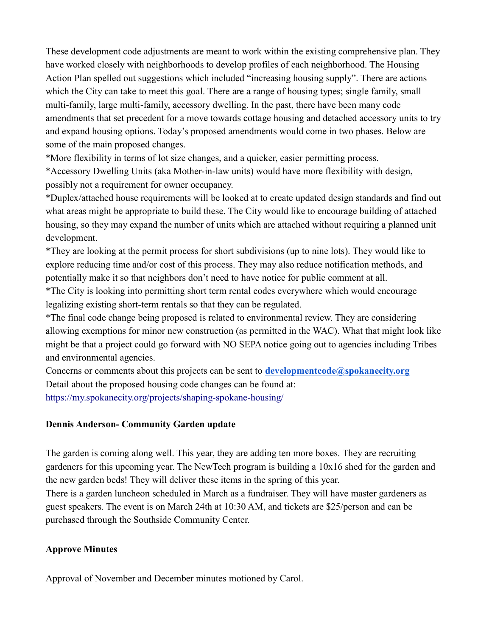These development code adjustments are meant to work within the existing comprehensive plan. They have worked closely with neighborhoods to develop profiles of each neighborhood. The Housing Action Plan spelled out suggestions which included "increasing housing supply". There are actions which the City can take to meet this goal. There are a range of housing types; single family, small multi-family, large multi-family, accessory dwelling. In the past, there have been many code amendments that set precedent for a move towards cottage housing and detached accessory units to try and expand housing options. Today's proposed amendments would come in two phases. Below are some of the main proposed changes.

\*More flexibility in terms of lot size changes, and a quicker, easier permitting process.

\*Accessory Dwelling Units (aka Mother-in-law units) would have more flexibility with design, possibly not a requirement for owner occupancy.

\*Duplex/attached house requirements will be looked at to create updated design standards and find out what areas might be appropriate to build these. The City would like to encourage building of attached housing, so they may expand the number of units which are attached without requiring a planned unit development.

\*They are looking at the permit process for short subdivisions (up to nine lots). They would like to explore reducing time and/or cost of this process. They may also reduce notification methods, and potentially make it so that neighbors don't need to have notice for public comment at all.

\*The City is looking into permitting short term rental codes everywhere which would encourage legalizing existing short-term rentals so that they can be regulated.

\*The final code change being proposed is related to environmental review. They are considering allowing exemptions for minor new construction (as permitted in the WAC). What that might look like might be that a project could go forward with NO SEPA notice going out to agencies including Tribes and environmental agencies.

Concerns or comments about this projects can be sent to  $developmentcode(@spokanecity.org)$ Detail about the proposed housing code changes can be found at: https://my.spokanecity.org/projects/shaping-spokane-housing/

#### Dennis Anderson- Community Garden update

The garden is coming along well. This year, they are adding ten more boxes. They are recruiting gardeners for this upcoming year. The NewTech program is building a 10x16 shed for the garden and the new garden beds! They will deliver these items in the spring of this year. There is a garden luncheon scheduled in March as a fundraiser. They will have master gardeners as guest speakers. The event is on March 24th at 10:30 AM, and tickets are \$25/person and can be purchased through the Southside Community Center.

#### Approve Minutes

Approval of November and December minutes motioned by Carol.